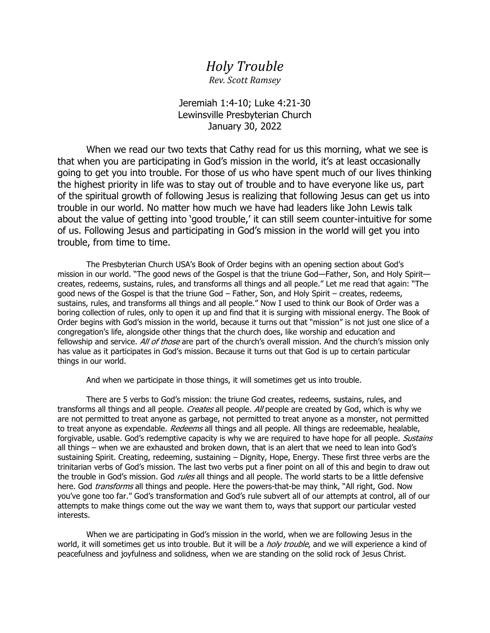## *Holy Trouble*

*Rev. Scott Ramsey*

Jeremiah 1:4-10; Luke 4:21-30 Lewinsville Presbyterian Church January 30, 2022

When we read our two texts that Cathy read for us this morning, what we see is that when you are participating in God's mission in the world, it's at least occasionally going to get you into trouble. For those of us who have spent much of our lives thinking the highest priority in life was to stay out of trouble and to have everyone like us, part of the spiritual growth of following Jesus is realizing that following Jesus can get us into trouble in our world. No matter how much we have had leaders like John Lewis talk about the value of getting into 'good trouble,' it can still seem counter-intuitive for some of us. Following Jesus and participating in God's mission in the world will get you into trouble, from time to time.

The Presbyterian Church USA's Book of Order begins with an opening section about God's mission in our world. "The good news of the Gospel is that the triune God—Father, Son, and Holy Spirit creates, redeems, sustains, rules, and transforms all things and all people." Let me read that again: "The good news of the Gospel is that the triune God – Father, Son, and Holy Spirit – creates, redeems, sustains, rules, and transforms all things and all people." Now I used to think our Book of Order was a boring collection of rules, only to open it up and find that it is surging with missional energy. The Book of Order begins with God's mission in the world, because it turns out that "mission" is not just one slice of a congregation's life, alongside other things that the church does, like worship and education and fellowship and service. All of those are part of the church's overall mission. And the church's mission only has value as it participates in God's mission. Because it turns out that God is up to certain particular things in our world.

And when we participate in those things, it will sometimes get us into trouble.

There are 5 verbs to God's mission: the triune God creates, redeems, sustains, rules, and transforms all things and all people. Creates all people. All people are created by God, which is why we are not permitted to treat anyone as garbage, not permitted to treat anyone as a monster, not permitted to treat anyone as expendable. Redeems all things and all people. All things are redeemable, healable, forgivable, usable. God's redemptive capacity is why we are required to have hope for all people. Sustains all things – when we are exhausted and broken down, that is an alert that we need to lean into God's sustaining Spirit. Creating, redeeming, sustaining – Dignity, Hope, Energy. These first three verbs are the trinitarian verbs of God's mission. The last two verbs put a finer point on all of this and begin to draw out the trouble in God's mission. God *rules* all things and all people. The world starts to be a little defensive here. God transforms all things and people. Here the powers-that-be may think, "All right, God. Now you've gone too far." God's transformation and God's rule subvert all of our attempts at control, all of our attempts to make things come out the way we want them to, ways that support our particular vested interests.

When we are participating in God's mission in the world, when we are following Jesus in the world, it will sometimes get us into trouble. But it will be a *holy trouble*, and we will experience a kind of peacefulness and joyfulness and solidness, when we are standing on the solid rock of Jesus Christ.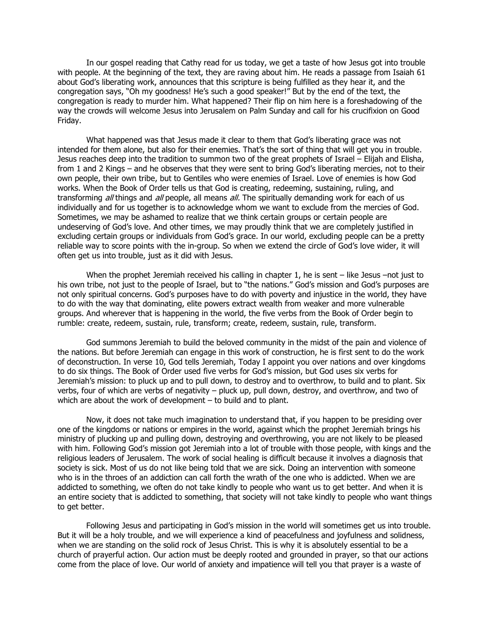In our gospel reading that Cathy read for us today, we get a taste of how Jesus got into trouble with people. At the beginning of the text, they are raving about him. He reads a passage from Isaiah 61 about God's liberating work, announces that this scripture is being fulfilled as they hear it, and the congregation says, "Oh my goodness! He's such a good speaker!" But by the end of the text, the congregation is ready to murder him. What happened? Their flip on him here is a foreshadowing of the way the crowds will welcome Jesus into Jerusalem on Palm Sunday and call for his crucifixion on Good Friday.

What happened was that Jesus made it clear to them that God's liberating grace was not intended for them alone, but also for their enemies. That's the sort of thing that will get you in trouble. Jesus reaches deep into the tradition to summon two of the great prophets of Israel – Elijah and Elisha, from 1 and 2 Kings – and he observes that they were sent to bring God's liberating mercies, not to their own people, their own tribe, but to Gentiles who were enemies of Israel. Love of enemies is how God works. When the Book of Order tells us that God is creating, redeeming, sustaining, ruling, and transforming all things and all people, all means all. The spiritually demanding work for each of us individually and for us together is to acknowledge whom we want to exclude from the mercies of God. Sometimes, we may be ashamed to realize that we think certain groups or certain people are undeserving of God's love. And other times, we may proudly think that we are completely justified in excluding certain groups or individuals from God's grace. In our world, excluding people can be a pretty reliable way to score points with the in-group. So when we extend the circle of God's love wider, it will often get us into trouble, just as it did with Jesus.

When the prophet Jeremiah received his calling in chapter 1, he is sent – like Jesus –not just to his own tribe, not just to the people of Israel, but to "the nations." God's mission and God's purposes are not only spiritual concerns. God's purposes have to do with poverty and injustice in the world, they have to do with the way that dominating, elite powers extract wealth from weaker and more vulnerable groups. And wherever that is happening in the world, the five verbs from the Book of Order begin to rumble: create, redeem, sustain, rule, transform; create, redeem, sustain, rule, transform.

God summons Jeremiah to build the beloved community in the midst of the pain and violence of the nations. But before Jeremiah can engage in this work of construction, he is first sent to do the work of deconstruction. In verse 10, God tells Jeremiah, Today I appoint you over nations and over kingdoms to do six things. The Book of Order used five verbs for God's mission, but God uses six verbs for Jeremiah's mission: to pluck up and to pull down, to destroy and to overthrow, to build and to plant. Six verbs, four of which are verbs of negativity – pluck up, pull down, destroy, and overthrow, and two of which are about the work of development – to build and to plant.

Now, it does not take much imagination to understand that, if you happen to be presiding over one of the kingdoms or nations or empires in the world, against which the prophet Jeremiah brings his ministry of plucking up and pulling down, destroying and overthrowing, you are not likely to be pleased with him. Following God's mission got Jeremiah into a lot of trouble with those people, with kings and the religious leaders of Jerusalem. The work of social healing is difficult because it involves a diagnosis that society is sick. Most of us do not like being told that we are sick. Doing an intervention with someone who is in the throes of an addiction can call forth the wrath of the one who is addicted. When we are addicted to something, we often do not take kindly to people who want us to get better. And when it is an entire society that is addicted to something, that society will not take kindly to people who want things to get better.

Following Jesus and participating in God's mission in the world will sometimes get us into trouble. But it will be a holy trouble, and we will experience a kind of peacefulness and joyfulness and solidness, when we are standing on the solid rock of Jesus Christ. This is why it is absolutely essential to be a church of prayerful action. Our action must be deeply rooted and grounded in prayer, so that our actions come from the place of love. Our world of anxiety and impatience will tell you that prayer is a waste of